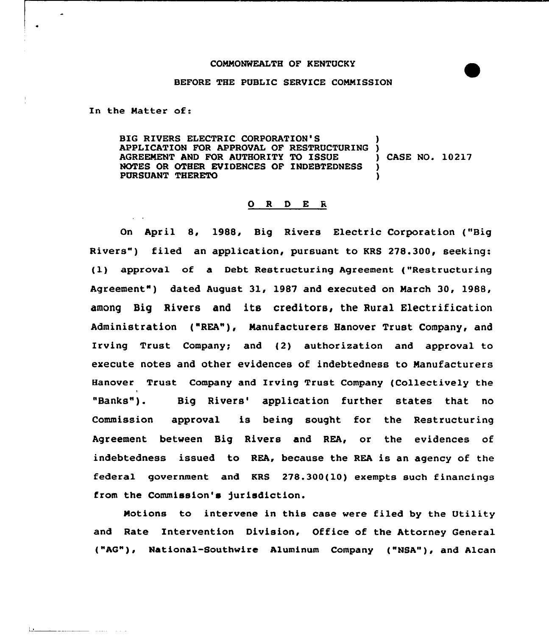### COMMONWEALTH OF KENTUCKY

#### BEFORE THE PUBLIC SERVICE COMMISSION

In the Natter of:

 $\overline{\phantom{a}}$ 

ΙJ.

— <u>— — — — —</u>

والمعاملات

**Contractor** 

BIG RIVERS ELECTRIC CORPORATION'S APPLICATION FOR APPROVAL OF RESTRUCTURING )<br>AGREEMENT AND FOR AUTHORITY TO ISSUE ) CASE NO. 10217 AGREEMENT AND FOR AUTHORITY TO ISSUE )<br>NOTES OR OTHER EVIDENCES OF INDEBTEDNESS ) NOTES OR OTHER EVIDENCES OF INDEBTEDNESS PURSUANT THERETO )

### 0 R <sup>D</sup> E <sup>R</sup>

On April 8, 1988, Big Rivers Electric Corporation ("Big Rivers") filed an application, pursuant to KRS 278.300, seeking: (1) approval of <sup>a</sup> Debt Restructuring Agreement ("Restructuring Agreement") dated August 31, 1987 and executed on March 30, 1988, among Big Rivers and its creditors, the Rural Electrification Administration ("REA"), Manufacturers Hanover Trust Company, and Irving Trust Company; and (2) authorization and approval to execute notes and other evidences of indebtedness to Manufacturers Hanover Trust Company and Irving Trust Company (Collectively the I "Banks"). Big Rivers' application further states that no Commission approval is being sought for the Restructuring Agreement between Big Rivers and REA, or the evidences of indebtedness issued to REA, because the REA is an agency of the federal government and KRS 278.300(10) exempts such financings from the Commission's jurisdiction.

Motions to intervene in this case were filed by the Utility and Rate Intervention Division, Office of the Attorney General ("AG"), National-Southwire Aluminum Company ("NSA"), and Alcan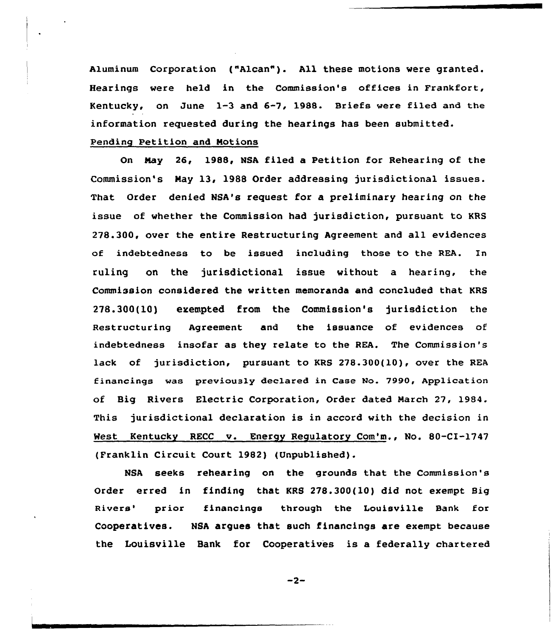Aluminum corporation ("Alcan"}. All these motions vere granted. Hearings were held in the Commission's offices in Frankfort, Kentucky, on June 1-3 and 6-7, 1988. Briefs vere fi1ed and the information requested during the hearings has been submitted.

# Pending Petition and Notions

On Nay 26, 1988, NSA filed a Petition for Rehearing of the Commission's Nay 13, 1988 Order addressing jurisdictional issues. That Order denied NSA's request for a preliminary hearing on the issue of vhether the Commission had jurisdiction, pursuant to KRS 278.300, over the entire Restructuring Agreement and all evidences of indebtedness to be issued including those to the REA. In ruling on the jurisdictional issue vithout a hearing, the Commission considered the vritten memoranda and concluded that KRS 278.300(10) exempted from the Commission's jurisdiction the Restructuring Agreement and the issuance of evidences of indebtedness insofar as they relate to the REA. The Commission's lack of jurisdiction, pursuant to KRS 278.300(10), over the REA financings vas previously dec1ared in Case No. 7990, Application of Big Rivers Electric Corporation, Order dated March 27, 1984. This jurisdictional declaration is in accord with the decision in West Kentucky RECC v. Energy Regulatory Com'm., No. 80-CI-1747 (Franklin Circuit Court 1982) (Unpublished).

NSA seeks rehearing on the grounds that the Commission's Order erred in finding that KRS 278.300(10) did not exempt Big Rivers' prior financings through the Louisville Bank for Cooperatives. NSA argues that such financings are exempt because the Louisville Bank for Cooperatives is a federally chartered

 $-2-$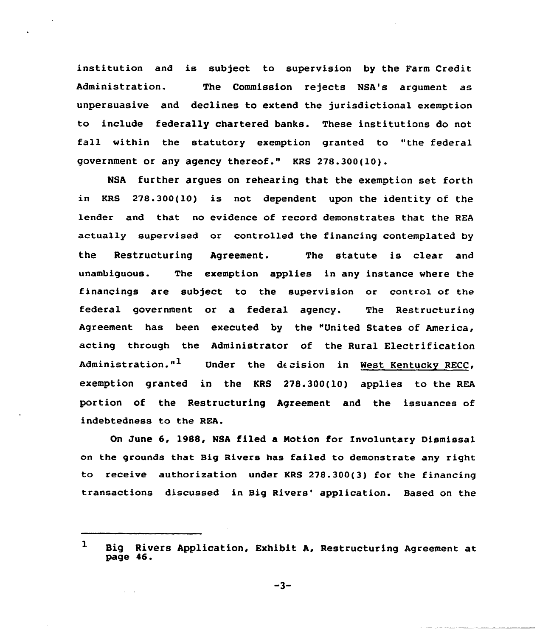institution and is subject to supervision by the Farm Credit Administration. The Commission rejects ISA's argument as unpersuasive and declines to extend the jurisdictional exemption to include federally chartered banks. These institutions do not fall within the statutory exemption granted to "the federal government or any agency thereof." KRS 278.300(10).

NSA further argues on rehearing that the exemption set forth in KRs 278.300{10) is not dependent upon the identity of the lender and that no evidence of record demonstrates that the REA actually supervised or controlled the financing contemplated by the Restructuring Agreement. The statute is clear and unambiguous. The exemption applies in any instance where the financings are subject to the supervision or control of the federal government or a federal agency. The Restructuring Agreement has been executed by the "United States of America, acting through the Administrator of the Rural Electrification Administration."<sup>1</sup> Under the decision in West-Kentucky RECC, exemption granted in the KRS 278.300(10) applies to the REA portion of the Restructuring Agreement and the issuances of indebtedness to the REA.

On June 6, 1988, NSA filed a Notion for Involuntary Dismissal on the grounds that Big Rivers has failed to demonstrate any right to receive authorization under KRS 278.300(3) for the financing transactions discussed in Big Rivers' application. Based on the

 $\mathbf{1}$ Big Rivers Application, Exhibit A, Restructuring Agreement at page 46.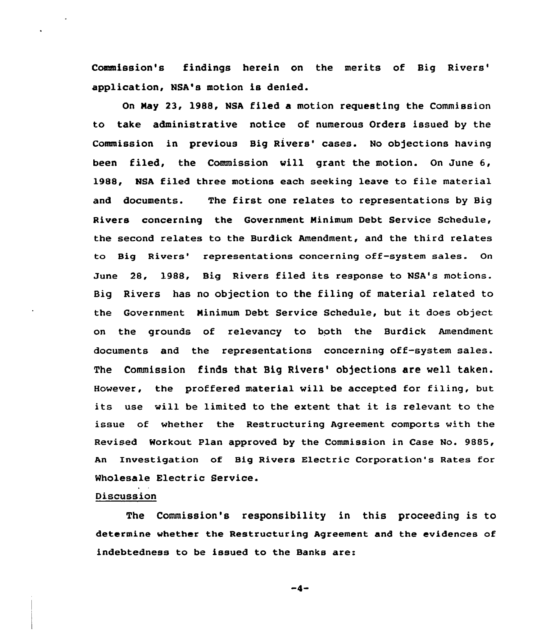Commission's findings herein on the merits of Big application, NSA's motion is denied.

On Nay 23, 1988, NSA filed a motion requesting the Commission to take administrative notice of numerous Orders issued by the Commission in previous Big Rivers' cases. No objections having been filed, the Commission will grant the motion. On June 6, 1988, NSA filed three motions each seeking leave to file material and documents. The first one relates to representations by Big Rivers concerning the Government Minimum Debt Service Schedule, the second relates to the Burdick Amendment, and the third relates to Big Rivers' representations concerning off-system sales. On June 28, 1988, Big Rivers filed its response to NSA's motions. Big Rivers has no objection to the filing of material related to the Government Minimum Debt Service Schedule, but it does object on the grounds of relevancy to both the Burdick Amendment documents and the representations concerning off-system sales. The Commission finds that Big Rivers' objections are well taken. However, the proffered material will be accepted for filing, but its use will be limited to the extent that it is relevant to the issue of whether the Restructuring Agreement comports with the Revised Workout Plan approved by the Commission in Case No. 9885, An Investigation of Hig Rivers Electric Corporation's Rates for Wholesale Electric Service.

### Discussion

The Commission's responsibility in this proceeding is to determine whether the Restructuring Agreement and the evidences of indebtedness to be issued to the Banks are:

 $-4-$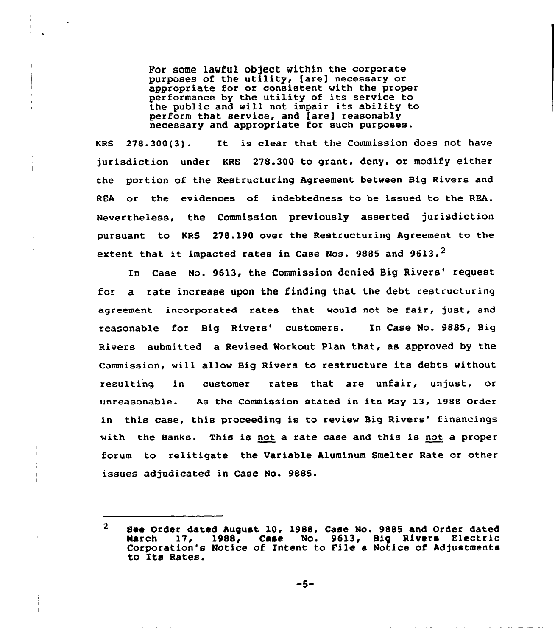For some lawful object within the corporate purposes of the utility, [are] necessary or appropriate for or consistent with the proper performance by the utility of its service to the public and will not impair its ability to perform that service, and [are] reasonably necessary and appropriate for such purposes.

KBS 278.300(3). It is clear that the Commission does not have jurisdiction under KRS 278.300 to grant, deny, or modify either the portion of the Restructuring Agreement between Big Rivers and REA or the evidences of indebtedness to be issued to the REA. Nevertheless, the Commission previously asserted jurisdiction pursuant to KRS 278.190 over the Restructuring Agreement to the extent that it impacted rates in Case Nos. 9885 and 9613.<sup>2</sup>

In Case No. 9613, the Commission denied Big Rivers' request for a rate increase upon the finding that the debt restructuring agreement incorporated rates that would not be fair, just, and reasonable for Big Rivers' customers. In Case No. 9885, Big Rivers submitted a Revised Workout Plan that, as approved by the Commission, will allow Big Rivers to restructure its debts without resulting in customer rates that are unfair, unjust, or unreasonable. As the Commission stated in its Nay 13, 1988 Order in this case, this proceeding is to review Big Rivers' financings with the Banks. This is not a rate case and this is not a proper forum to relitigate the Variable Aluminum Smelter Rate or other issues adjudicated in Case No. 9885.

-5-

 $\overline{2}$ See Order dated August 10, 1988, Case No. 9885 and Order dated<br>March 17, 1988, Case No. 9613, Big Rivers Electric Case No. 9613, Big Rivers Electric Corporation's Notice of Intent to File a Notice of Adjustments to Its Rates.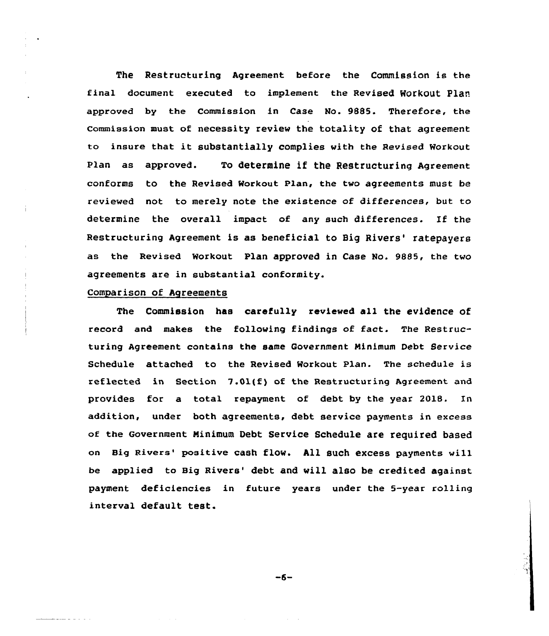The Restructuring Agreement before the Commission is the final document executed to implement the Revised Workout Plan approved by the Commission in Case No. 9885. Therefore, the commission must of necessity review the totality of that agreement to insure that it substantially complies with the Revised Workout Plan as approved. To determine if the Restructuring Agreement conforms to the Revised workout Plan, the two agreements must be reviewed not to merely note the existence of differences, but to determine the overall impact of any such differences. If the Restructuring Agreement is as beneficial to Big Rivers' ratepayers as the Revised Workout Plan approved in Case No. 9885, the two agreements are in substantial conformity.

## Comparison of Agreements

والمنابذ المناسبة

The Commission has carefully reviewed all the evidence of record and makes the following findings of fact. The Restructuring Agreement contains the same Government Minimum Debt Service Schedule attached to the Revised Workout Plan. The schedule is reflected in Section  $7.01(f)$  of the Restructuring Agreement and provides for a total repayment of debt by the year 2018. ln addition, under both agreements, debt service payments in excess of the Government Minimum Debt Service Schedule are required based on Big Rivers' positive cash flow. All such excess payments will be applied to Big Rivers' debt and will also be credited against payment deficiencies in future years under the 5-year rolling interval default test.

 $-6-$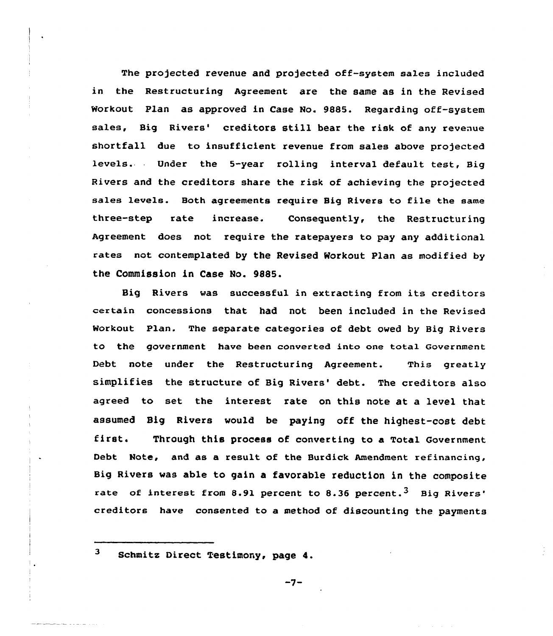The projected revenue and projected off-system sales included in the Restructuring Agreement are the same as in the Revised Workout Plan as approved in Case No. 9885. Regarding off-system sales, Big Rivers' creditors still bear the risk of any revenue shortfall due to insufficient revenue from sales above projected levels. Under the 5-year rolling interval default test, Big Rivers and the creditors share the risk of achieving the projected sales levels. Both agreements require Sig Rivers to file the same three-step rate increase. Consequently, the Restructuring Agreement does not require the ratepayers to pay any additional rates not contemplated by the Revised Workout Plan as modified by the Commission in Case No. 9885.

Big Rivers was successful in extracting from its creditors certain concessions that had not been included in the Revised Workout Plan. The separate categories of debt owed by Big Rivers to the government have been converted into one total Government Debt note under the Restructuring Agreement. This greatly simplifies the structure of Big Rivers' debt. The creditors also agreed to set the interest rate on this note at a level that assumed Big Rivers would be paying off the highest-cost debt first. Through this process of converting to a Total Government Debt Note, and as a result of the Burdick Amendment refinancing, Sig Rivers was able to gain a favorable reduction in the composite rate of interest from 8.91 percent to 8.36 percent.<sup>3</sup> Big Rivers' have consented to a method of discounting the payment

 $3<sup>1</sup>$ 

Schmits Direct Testimony, page 4.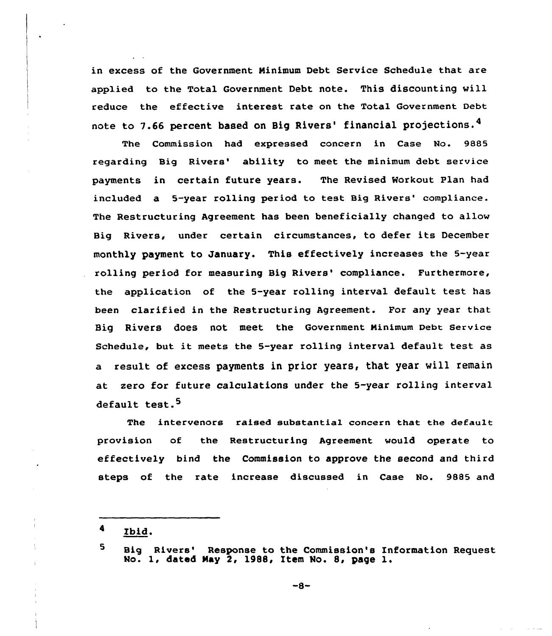in excess of the Government Minimum Debt Service Schedule that are applied to the Total Government Debt note. This discounting will reduce the effective interest rate on the Total Government Debt note to 7.66 percent based on Big Rivers' financial projections.<sup>4</sup>

The Commission had expressed concern in Case No. 9885 regarding Big Rivers' ability to meet the minimum debt service payments in certain future years. The Revised Workout Plan had included a 5-year rolling period to test Big Rivers' compliance. The Restructuring Agreement has been beneficially changed to allow Big Rivers, under certain circumstances, to defer its December monthly payment to January. This effectively increases the 5-year rolling period for measuring Big Rivers'ompliance. Furthermore, the application of the 5-year rolling interval default test has been clarified in the Restructuring Agreement. For any year that Big Rivers does not meet the Government minimum Debt service Schedule, but it meets the 5-year rolling interval default test as a result of excess payments in prior years, that year will remain at zero for future calculations under the 5-year rolling interval default test.<sup>5</sup>

The intervenors raised substantial concern that the default provision of the Restructuring Agreement would operate to effectively bind the Commission to approve the second and third steps of the rate increase discussed in Case No. 9885 and

<sup>4</sup> Ibid,

<sup>5</sup> Big Rivers' Response to the Commission's Information Request No. 1, dated May 2, 1988, Item No. 8, page 1.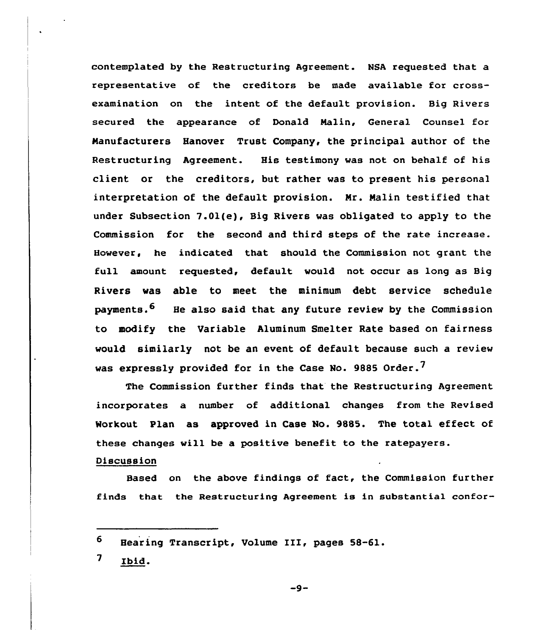contemplated by the Restructuring Agreement. NSA requested that a representative of the creditors be made available for crossexamination on the intent of the default provision. Big Rivers secured the appearance of Donald Malin, General Counsel for Manufacturers Hanover Trust Company, the principal author of the Restructuring Agreement. His testimony was not on behalf of his client or the creditors, but rather was to present his personal interpretation of the default provision. Mr. Malin testified that under Subsection 7.01(e), Big Rivers was obligated to apply to the Commission for the second and third steps of the rate increase. However, he indicated that should the Commission not grant the full amount requested, default would not occur as long as Big Rivers was able to meet the minimum debt service schedule payments.<sup>6</sup> He also said that any future review by the Commission to modify the Variable Aluminum Smelter Rate based on fairness would similarly not be an event of default because such a review was expressly provided for in the Case No. 9885 Order.<sup>7</sup>

The Commission further finds that the Restructuring Agreement incorporates a number of additional changes from the Revised Workout Plan as approved in Case No. 9885. The total effect of these changes will be a positive benefit to the ratepayers.

## Discussion

Based on the above findings of fact, the Commission further finds that the Restructuring Agreement is in substantial confor-

<sup>6</sup> Hearing Transcript, Volume III, pages 58-61.

<sup>7</sup> Ibid.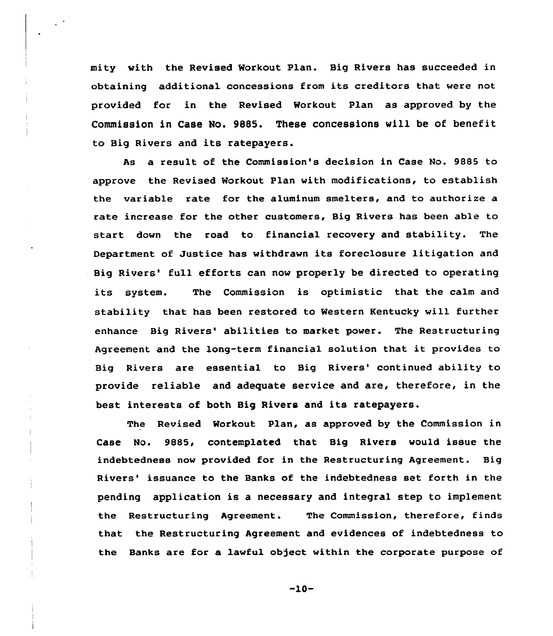mity with the Revised Morkaut Plan. Big Rivers has succeeded in obtaining additional concessions from its creditors that were not provided for in the Revised Workout Plan as approved by the Commission in Case No. 9885. These concessions will be of benefit to Big Rivers and its ratepayers.

As a result of the Commission's decision in Case No. 9885 to approve the Revised Workout Plan with modifications, to establish the variable rate for the aluminum smelters, and to authorize a rate increase for the other customers, Big Rivers has been able to start down the road to financial recovery and stability. The Department of Justice has withdrawn its foreclosure litigation and Big Rivers' full efforts can now properly be directed to operating its system. The Commission is optimistic that the calm and stability that has been restored to Western Kentucky will further enhance Big Rivers' abilities to market power. The Restructuring Agreement and the long-term financial solution that it provides to Big Rivers are essential to Big Rivers' continued ability to provide reliable and adequate service and are, therefore, in the best interests of both Big Rivers and its ratepayers.

The Revised Morkaut Plan, as approved by the Commission in Case No. 9885, contemplated that Big Rivers would issue the indebtedness now provided for in the Restructuring Agreement. Big Rivers' issuance to the Banks of the indebtedness set forth in the pending application is a necessary and integral step to implement the Restructuring Agreement. The Commission, therefore, finds that the Restructuring Agreement and evidences of indebtedness to the Banks are for a lawful object within the corporate purpose of

 $-10-$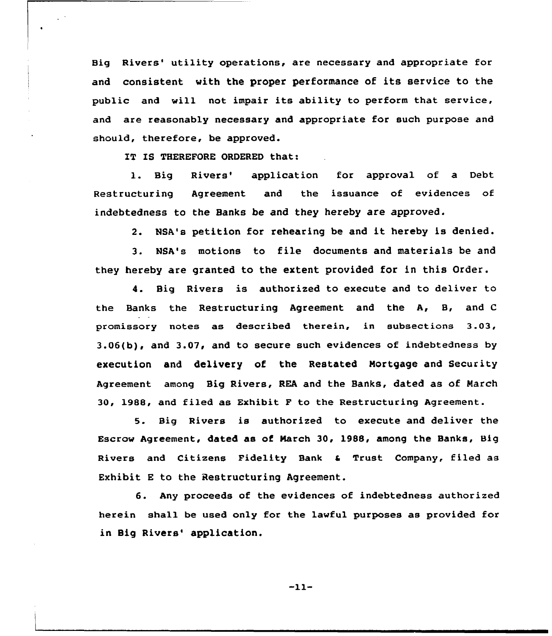Big Rivers' utility operations, are necessary and appropriate for and consistent with the proper performance of its service to the public and will not impair its ability to perform that service, and are reasonably necessary and appropriate for such purpose and should, therefore, be approved.

IT IS THEREFORE ORDERED that:

 $\ddot{\phantom{a}}$ 

1. Big Rivers' application for approval of a Debt Restructuring Agreement and the issuance of evidences of indebtedness to the Banks be and they hereby are approved.

2. NSA's petition for rehearing be and it hereby is denied.

3. NSA's motions to file documents and materials be and they hereby are granted to the extent provided for in this Order.

4. Big Rivers is authorized to execute and to deliver to the Banks the Restructuring Agreement and the A, 8, and <sup>C</sup> promissory notes as described therein, in subsections 3.03, 3.06(b), and 3.07, and to secure such evidences of indebtedness by execution and delivery of the Restated Mortgage and Security Agreement among Big Rivers, REA and the Banks, dated as of March 30, 1988, and filed as Exhibit F to the Restructuring Agreement.

5. Big Rivers is authorized to execute and deliver the Escrow Agreement, dated as of March 30, 1988, among the Banks, Big Rivers and Citizens Fidelity Bank & Trust Company, filed as Exhibit E to the Restructuring Agreement.

6. Any proceeds of the evidences of indebtedness authorized herein shall be used only for the lawful purposes as provided for in Big Rivers' application.

 $-11-$